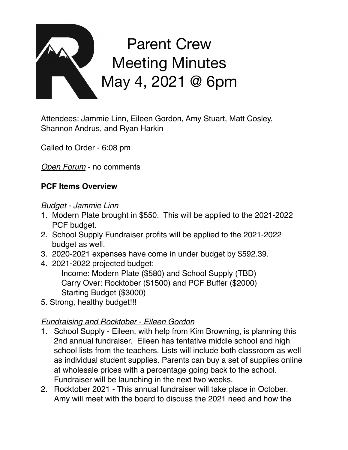

Attendees: Jammie Linn, Eileen Gordon, Amy Stuart, Matt Cosley, Shannon Andrus, and Ryan Harkin

Called to Order - 6:08 pm

*Open Forum* - no comments

### **PCF Items Overview**

#### *Budget - Jammie Linn*

- 1. Modern Plate brought in \$550. This will be applied to the 2021-2022 PCF budget.
- 2. School Supply Fundraiser profits will be applied to the 2021-2022 budget as well.
- 3. 2020-2021 expenses have come in under budget by \$592.39.
- 4. 2021-2022 projected budget:

Income: Modern Plate (\$580) and School Supply (TBD) Carry Over: Rocktober (\$1500) and PCF Buffer (\$2000) Starting Budget (\$3000)

5. Strong, healthy budget!!!

## *Fundraising and Rocktober - Eileen Gordon*

- 1. School Supply Eileen, with help from Kim Browning, is planning this 2nd annual fundraiser. Eileen has tentative middle school and high school lists from the teachers. Lists will include both classroom as well as individual student supplies. Parents can buy a set of supplies online at wholesale prices with a percentage going back to the school. Fundraiser will be launching in the next two weeks.
- 2. Rocktober 2021 This annual fundraiser will take place in October. Amy will meet with the board to discuss the 2021 need and how the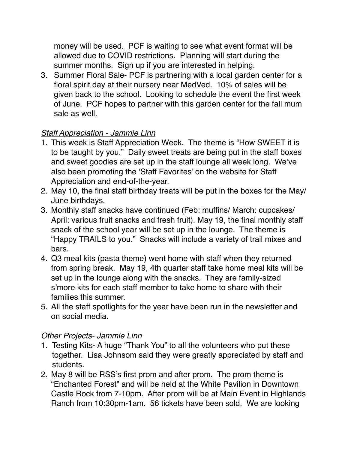money will be used. PCF is waiting to see what event format will be allowed due to COVID restrictions. Planning will start during the summer months. Sign up if you are interested in helping.

3. Summer Floral Sale- PCF is partnering with a local garden center for a floral spirit day at their nursery near MedVed. 10% of sales will be given back to the school. Looking to schedule the event the first week of June. PCF hopes to partner with this garden center for the fall mum sale as well.

# *Staff Appreciation - Jammie Linn*

- 1. This week is Staff Appreciation Week. The theme is "How SWEET it is to be taught by you." Daily sweet treats are being put in the staff boxes and sweet goodies are set up in the staff lounge all week long. We've also been promoting the 'Staff Favorites' on the website for Staff Appreciation and end-of-the-year.
- 2. May 10, the final staff birthday treats will be put in the boxes for the May/ June birthdays.
- 3. Monthly staff snacks have continued (Feb: muffins/ March: cupcakes/ April: various fruit snacks and fresh fruit). May 19, the final monthly staff snack of the school year will be set up in the lounge. The theme is "Happy TRAILS to you." Snacks will include a variety of trail mixes and bars.
- 4. Q3 meal kits (pasta theme) went home with staff when they returned from spring break. May 19, 4th quarter staff take home meal kits will be set up in the lounge along with the snacks. They are family-sized s'more kits for each staff member to take home to share with their families this summer.
- 5. All the staff spotlights for the year have been run in the newsletter and on social media.

### *Other Projects- Jammie Linn*

- 1. Testing Kits- A huge "Thank You" to all the volunteers who put these together. Lisa Johnsom said they were greatly appreciated by staff and students.
- 2. May 8 will be RSS's first prom and after prom. The prom theme is "Enchanted Forest" and will be held at the White Pavilion in Downtown Castle Rock from 7-10pm. After prom will be at Main Event in Highlands Ranch from 10:30pm-1am. 56 tickets have been sold. We are looking